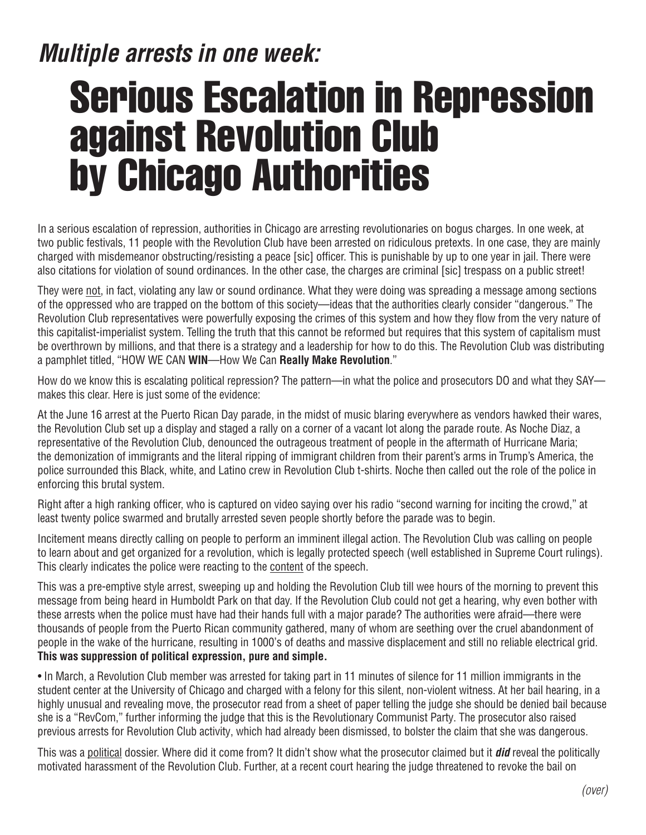## *Multiple arrests in one week:*

# Serious Escalation in Repression against Revolution Club by Chicago Authorities

In a serious escalation of repression, authorities in Chicago are arresting revolutionaries on bogus charges. In one week, at two public festivals, 11 people with the Revolution Club have been arrested on ridiculous pretexts. In one case, they are mainly charged with misdemeanor obstructing/resisting a peace [sic] officer. This is punishable by up to one year in jail. There were also citations for violation of sound ordinances. In the other case, the charges are criminal [sic] trespass on a public street!

They were not, in fact, violating any law or sound ordinance. What they were doing was spreading a message among sections of the oppressed who are trapped on the bottom of this society—ideas that the authorities clearly consider "dangerous." The Revolution Club representatives were powerfully exposing the crimes of this system and how they flow from the very nature of this capitalist-imperialist system. Telling the truth that this cannot be reformed but requires that this system of capitalism must be overthrown by millions, and that there is a strategy and a leadership for how to do this. The Revolution Club was distributing a pamphlet titled, "HOW WE CAN **WIN**—How We Can **Really Make Revolution**."

How do we know this is escalating political repression? The pattern—in what the police and prosecutors DO and what they SAY makes this clear. Here is just some of the evidence:

At the June 16 arrest at the Puerto Rican Day parade, in the midst of music blaring everywhere as vendors hawked their wares, the Revolution Club set up a display and staged a rally on a corner of a vacant lot along the parade route. As Noche Diaz, a representative of the Revolution Club, denounced the outrageous treatment of people in the aftermath of Hurricane Maria; the demonization of immigrants and the literal ripping of immigrant children from their parent's arms in Trump's America, the police surrounded this Black, white, and Latino crew in Revolution Club t-shirts. Noche then called out the role of the police in enforcing this brutal system.

Right after a high ranking officer, who is captured on video saying over his radio "second warning for inciting the crowd," at least twenty police swarmed and brutally arrested seven people shortly before the parade was to begin.

Incitement means directly calling on people to perform an imminent illegal action. The Revolution Club was calling on people to learn about and get organized for a revolution, which is legally protected speech (well established in Supreme Court rulings). This clearly indicates the police were reacting to the content of the speech.

This was a pre-emptive style arrest, sweeping up and holding the Revolution Club till wee hours of the morning to prevent this message from being heard in Humboldt Park on that day. If the Revolution Club could not get a hearing, why even bother with these arrests when the police must have had their hands full with a major parade? The authorities were afraid—there were thousands of people from the Puerto Rican community gathered, many of whom are seething over the cruel abandonment of people in the wake of the hurricane, resulting in 1000's of deaths and massive displacement and still no reliable electrical grid. **This was suppression of political expression, pure and simple.**

• In March, a Revolution Club member was arrested for taking part in 11 minutes of silence for 11 million immigrants in the student center at the University of Chicago and charged with a felony for this silent, non-violent witness. At her bail hearing, in a highly unusual and revealing move, the prosecutor read from a sheet of paper telling the judge she should be denied bail because she is a "RevCom," further informing the judge that this is the Revolutionary Communist Party. The prosecutor also raised previous arrests for Revolution Club activity, which had already been dismissed, to bolster the claim that she was dangerous.

This was a political dossier. Where did it come from? It didn't show what the prosecutor claimed but it *did* reveal the politically motivated harassment of the Revolution Club. Further, at a recent court hearing the judge threatened to revoke the bail on